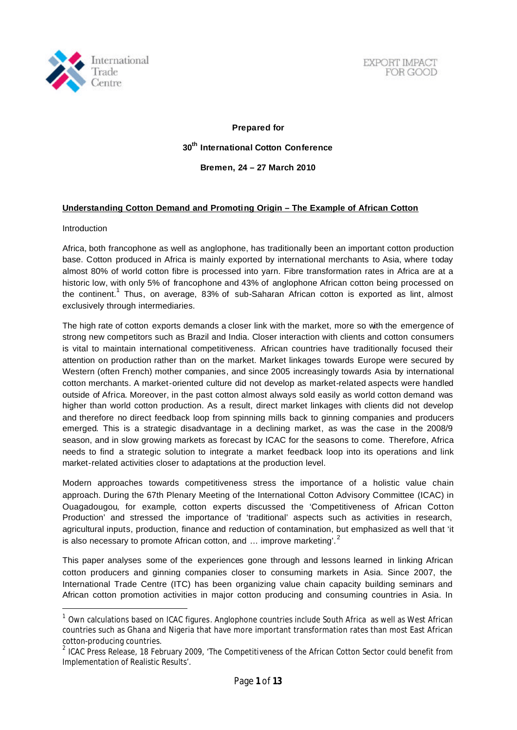

EXPORT IMPACT FOR GOOD

**Prepared for 30 th International Cotton Conference Bremen, 24 – 27 March 2010**

## **Understanding Cotton Demand and Promoting Origin – The Example of African Cotton**

#### Introduction

l

Africa, both francophone as well as anglophone, has traditionally been an important cotton production base. Cotton produced in Africa is mainly exported by international merchants to Asia, where today almost 80% of world cotton fibre is processed into yarn. Fibre transformation rates in Africa are at a historic low, with only 5% of francophone and 43% of anglophone African cotton being processed on the continent.<sup>1</sup> Thus, on average, 83% of sub-Saharan African cotton is exported as lint, almost exclusively through intermediaries.

The high rate of cotton exports demands a closer link with the market, more so with the emergence of strong new competitors such as Brazil and India. Closer interaction with clients and cotton consumers is vital to maintain international competitiveness. African countries have traditionally focused their attention on production rather than on the market. Market linkages towards Europe were secured by Western (often French) mother companies, and since 2005 increasingly towards Asia by international cotton merchants. A market-oriented culture did not develop as market-related aspects were handled outside of Africa. Moreover, in the past cotton almost always sold easily as world cotton demand was higher than world cotton production. As a result, direct market linkages with clients did not develop and therefore no direct feedback loop from spinning mills back to ginning companies and producers emerged. This is a strategic disadvantage in a declining market, as was the case in the 2008/9 season, and in slow growing markets as forecast by ICAC for the seasons to come. Therefore, Africa needs to find a strategic solution to integrate a market feedback loop into its operations and link market-related activities closer to adaptations at the production level.

Modern approaches towards competitiveness stress the importance of a holistic value chain approach. During the 67th Plenary Meeting of the International Cotton Advisory Committee (ICAC) in Ouagadougou, for example, cotton experts discussed the 'Competitiveness of African Cotton Production' and stressed the importance of 'traditional' aspects such as activities in research, agricultural inputs, production, finance and reduction of contamination, but emphasized as well that 'it is also necessary to promote African cotton, and  $...$  improve marketing'.<sup>2</sup>

This paper analyses some of the experiences gone through and lessons learned in linking African cotton producers and ginning companies closer to consuming markets in Asia. Since 2007, the International Trade Centre (ITC) has been organizing value chain capacity building seminars and African cotton promotion activities in major cotton producing and consuming countries in Asia. In

 $^1$  Own calculations based on ICAC figures. Anglophone countries include South Africa as well as West African countries such as Ghana and Nigeria that have more important transformation rates than most East African cotton-producing countries.

<sup>&</sup>lt;sup>2</sup> ICAC Press Release, 18 February 2009, 'The Competitiveness of the African Cotton Sector could benefit from Implementation of Realistic Results'.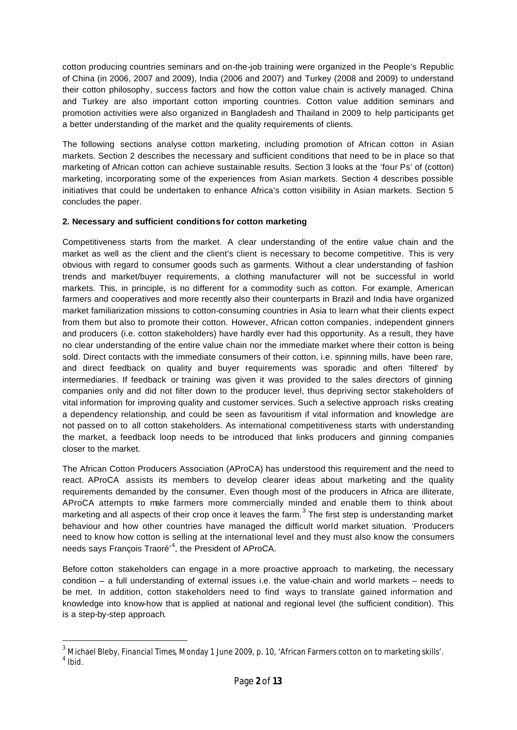cotton producing countries seminars and on-the-job training were organized in the People's Republic of China (in 2006, 2007 and 2009), India (2006 and 2007) and Turkey (2008 and 2009) to understand their cotton philosophy, success factors and how the cotton value chain is actively managed. China and Turkey are also important cotton importing countries. Cotton value addition seminars and promotion activities were also organized in Bangladesh and Thailand in 2009 to help participants get a better understanding of the market and the quality requirements of clients.

The following sections analyse cotton marketing, including promotion of African cotton in Asian markets. Section 2 describes the necessary and sufficient conditions that need to be in place so that marketing of African cotton can achieve sustainable results. Section 3 looks at the 'four Ps' of (cotton) marketing, incorporating some of the experiences from Asian markets. Section 4 describes possible initiatives that could be undertaken to enhance Africa's cotton visibility in Asian markets. Section 5 concludes the paper.

## **2. Necessary and sufficient conditions for cotton marketing**

Competitiveness starts from the market. A clear understanding of the entire value chain and the market as well as the client and the client's client is necessary to become competitive. This is very obvious with regard to consumer goods such as garments. Without a clear understanding of fashion trends and market/buyer requirements, a clothing manufacturer will not be successful in world markets. This, in principle, is no different for a commodity such as cotton. For example, American farmers and cooperatives and more recently also their counterparts in Brazil and India have organized market familiarization missions to cotton-consuming countries in Asia to learn what their clients expect from them but also to promote their cotton. However, African cotton companies, independent ginners and producers (i.e. cotton stakeholders) have hardly ever had this opportunity. As a result, they have no clear understanding of the entire value chain nor the immediate market where their cotton is being sold. Direct contacts with the immediate consumers of their cotton, i.e. spinning mills, have been rare, and direct feedback on quality and buyer requirements was sporadic and often 'filtered' by intermediaries. If feedback or training was given it was provided to the sales directors of ginning companies only and did not filter down to the producer level, thus depriving sector stakeholders of vital information for improving quality and customer services. Such a selective approach risks creating a dependency relationship, and could be seen as favouritism if vital information and knowledge are not passed on to all cotton stakeholders. As international competitiveness starts with understanding the market, a feedback loop needs to be introduced that links producers and ginning companies closer to the market.

The African Cotton Producers Association (AProCA) has understood this requirement and the need to react. AProCA assists its members to develop clearer ideas about marketing and the quality requirements demanded by the consumer. Even though most of the producers in Africa are illiterate, AProCA attempts to make farmers more commercially minded and enable them to think about marketing and all aspects of their crop once it leaves the farm.<sup>3</sup> The first step is understanding market behaviour and how other countries have managed the difficult world market situation. 'Producers need to know how cotton is selling at the international level and they must also know the consumers needs says François Traoré<sup>, 4</sup>, the President of AProCA.

Before cotton stakeholders can engage in a more proactive approach to marketing, the necessary condition – a full understanding of external issues i.e. the value-chain and world markets – needs to be met. In addition, cotton stakeholders need to find ways to translate gained information and knowledge into know-how that is applied at national and regional level (the sufficient condition). This is a step-by-step approach.

<sup>3</sup> Michael Bleby, *Financial Times*, Monday 1 June 2009, p. 10, 'African Farmers cotton on to marketing skills'.  $<sup>4</sup>$  Ibid.</sup>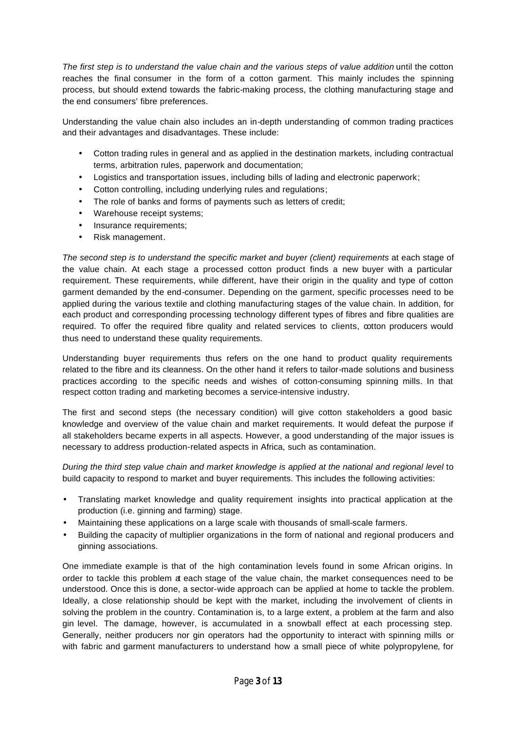*The first step is to understand the value chain and the various steps of value addition* until the cotton reaches the final consumer in the form of a cotton garment. This mainly includes the spinning process, but should extend towards the fabric-making process, the clothing manufacturing stage and the end consumers' fibre preferences.

Understanding the value chain also includes an in-depth understanding of common trading practices and their advantages and disadvantages. These include:

- Cotton trading rules in general and as applied in the destination markets, including contractual terms, arbitration rules, paperwork and documentation;
- Logistics and transportation issues, including bills of lading and electronic paperwork;
- Cotton controlling, including underlying rules and regulations;
- The role of banks and forms of payments such as letters of credit;
- Warehouse receipt systems;
- Insurance requirements;
- Risk management.

*The second step is to understand the specific market and buyer (client) requirements* at each stage of the value chain. At each stage a processed cotton product finds a new buyer with a particular requirement. These requirements, while different, have their origin in the quality and type of cotton garment demanded by the end-consumer. Depending on the garment, specific processes need to be applied during the various textile and clothing manufacturing stages of the value chain. In addition, for each product and corresponding processing technology different types of fibres and fibre qualities are required. To offer the required fibre quality and related services to clients, cotton producers would thus need to understand these quality requirements.

Understanding buyer requirements thus refers on the one hand to product quality requirements related to the fibre and its cleanness. On the other hand it refers to tailor-made solutions and business practices according to the specific needs and wishes of cotton-consuming spinning mills. In that respect cotton trading and marketing becomes a service-intensive industry.

The first and second steps (the necessary condition) will give cotton stakeholders a good basic knowledge and overview of the value chain and market requirements. It would defeat the purpose if all stakeholders became experts in all aspects. However, a good understanding of the major issues is necessary to address production-related aspects in Africa, such as contamination.

*During the third step value chain and market knowledge is applied at the national and regional level* to build capacity to respond to market and buyer requirements. This includes the following activities:

- Translating market knowledge and quality requirement insights into practical application at the production (i.e. ginning and farming) stage.
- Maintaining these applications on a large scale with thousands of small-scale farmers.
- Building the capacity of multiplier organizations in the form of national and regional producers and ginning associations.

One immediate example is that of the high contamination levels found in some African origins. In order to tackle this problem at each stage of the value chain, the market consequences need to be understood. Once this is done, a sector-wide approach can be applied at home to tackle the problem. Ideally, a close relationship should be kept with the market, including the involvement of clients in solving the problem in the country. Contamination is, to a large extent, a problem at the farm and also gin level. The damage, however, is accumulated in a snowball effect at each processing step. Generally, neither producers nor gin operators had the opportunity to interact with spinning mills or with fabric and garment manufacturers to understand how a small piece of white polypropylene, for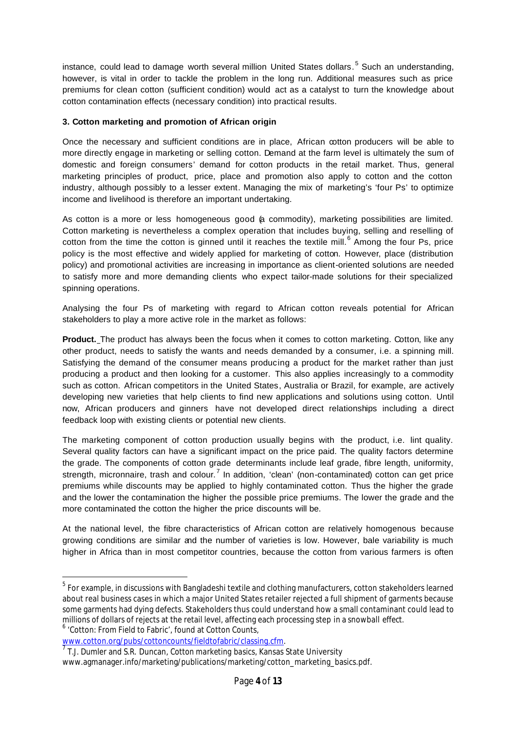instance, could lead to damage worth several million United States dollars.<sup>5</sup> Such an understanding, however, is vital in order to tackle the problem in the long run. Additional measures such as price premiums for clean cotton (sufficient condition) would act as a catalyst to turn the knowledge about cotton contamination effects (necessary condition) into practical results.

## **3. Cotton marketing and promotion of African origin**

Once the necessary and sufficient conditions are in place, African cotton producers will be able to more directly engage in marketing or selling cotton. Demand at the farm level is ultimately the sum of domestic and foreign consumers' demand for cotton products in the retail market. Thus, general marketing principles of product, price, place and promotion also apply to cotton and the cotton industry, although possibly to a lesser extent. Managing the mix of marketing's 'four Ps' to optimize income and livelihood is therefore an important undertaking.

As cotton is a more or less homogeneous good (a commodity), marketing possibilities are limited. Cotton marketing is nevertheless a complex operation that includes buying, selling and reselling of cotton from the time the cotton is ginned until it reaches the textile mill.<sup>6</sup> Among the four Ps, price policy is the most effective and widely applied for marketing of cotton. However, place (distribution policy) and promotional activities are increasing in importance as client-oriented solutions are needed to satisfy more and more demanding clients who expect tailor-made solutions for their specialized spinning operations.

Analysing the four Ps of marketing with regard to African cotton reveals potential for African stakeholders to play a more active role in the market as follows:

**Product.** The product has always been the focus when it comes to cotton marketing. Cotton, like any other product, needs to satisfy the wants and needs demanded by a consumer, i.e. a spinning mill. Satisfying the demand of the consumer means producing a product for the market rather than just producing a product and then looking for a customer. This also applies increasingly to a commodity such as cotton. African competitors in the United States, Australia or Brazil, for example, are actively developing new varieties that help clients to find new applications and solutions using cotton. Until now, African producers and ginners have not developed direct relationships including a direct feedback loop with existing clients or potential new clients.

The marketing component of cotton production usually begins with the product, i.e. lint quality. Several quality factors can have a significant impact on the price paid. The quality factors determine the grade. The components of cotton grade determinants include leaf grade, fibre length, uniformity, strength, micronnaire, trash and colour.<sup>7</sup> In addition, 'clean' (non-contaminated) cotton can get price premiums while discounts may be applied to highly contaminated cotton. Thus the higher the grade and the lower the contamination the higher the possible price premiums. The lower the grade and the more contaminated the cotton the higher the price discounts will be.

At the national level, the fibre characteristics of African cotton are relatively homogenous because growing conditions are similar and the number of varieties is low. However, bale variability is much higher in Africa than in most competitor countries, because the cotton from various farmers is often

6 'Cotton: From Field to Fabric', found at Cotton Counts,

 $^{\rm 5}$  For example, in discussions with Bangladeshi textile and clothing manufacturers, cotton stakeholders learned about real business cases in which a major United States retailer rejected a full shipment of garments because some garments had dying defects. Stakeholders thus could understand how a small contaminant could lead to millions of dollars of rejects at the retail level, affecting each processing step in a snowball effect.

www.cotton.org/pubs/cottoncounts/fieldtofabric/classing.cfm.<br><sup>7</sup> J. L. Dumler and S. D. Dungen, *Cotton marketing bosise Kanses* (

T.J. Dumler and S.R. Duncan, *Cotton marketing basics*, Kansas State University

www.agmanager.info/marketing/publications/marketing/cotton\_marketing\_basics.pdf.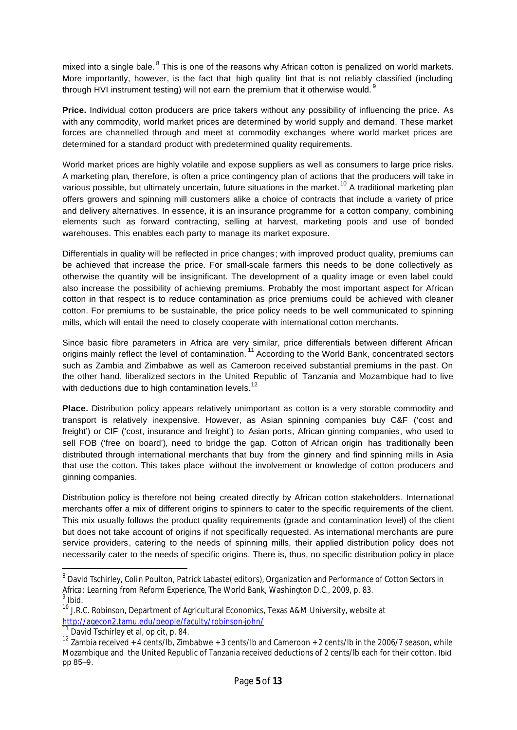mixed into a single bale. <sup>8</sup> This is one of the reasons why African cotton is penalized on world markets. More importantly, however, is the fact that high quality lint that is not reliably classified (including through HVI instrument testing) will not earn the premium that it otherwise would.<sup>9</sup>

**Price.** Individual cotton producers are price takers without any possibility of influencing the price. As with any commodity, world market prices are determined by world supply and demand. These market forces are channelled through and meet at commodity exchanges where world market prices are determined for a standard product with predetermined quality requirements.

World market prices are highly volatile and expose suppliers as well as consumers to large price risks. A marketing plan, therefore, is often a price contingency plan of actions that the producers will take in various possible, but ultimately uncertain, future situations in the market.<sup>10</sup> A traditional marketing plan offers growers and spinning mill customers alike a choice of contracts that include a variety of price and delivery alternatives. In essence, it is an insurance programme for a cotton company, combining elements such as forward contracting, selling at harvest, marketing pools and use of bonded warehouses. This enables each party to manage its market exposure.

Differentials in quality will be reflected in price changes; with improved product quality, premiums can be achieved that increase the price. For small-scale farmers this needs to be done collectively as otherwise the quantity will be insignificant. The development of a quality image or even label could also increase the possibility of achieving premiums. Probably the most important aspect for African cotton in that respect is to reduce contamination as price premiums could be achieved with cleaner cotton. For premiums to be sustainable, the price policy needs to be well communicated to spinning mills, which will entail the need to closely cooperate with international cotton merchants.

Since basic fibre parameters in Africa are very similar, price differentials between different African origins mainly reflect the level of contamination.<sup>11</sup> According to the World Bank, concentrated sectors such as Zambia and Zimbabwe as well as Cameroon received substantial premiums in the past. On the other hand, liberalized sectors in the United Republic of Tanzania and Mozambique had to live with deductions due to high contamination levels.<sup>12</sup>

**Place.** Distribution policy appears relatively unimportant as cotton is a very storable commodity and transport is relatively inexpensive. However, as Asian spinning companies buy C&F ('cost and freight') or CIF ('cost, insurance and freight') to Asian ports, African ginning companies, who used to sell FOB ('free on board'), need to bridge the gap. Cotton of African origin has traditionally been distributed through international merchants that buy from the ginnery and find spinning mills in Asia that use the cotton. This takes place without the involvement or knowledge of cotton producers and ginning companies.

Distribution policy is therefore not being created directly by African cotton stakeholders. International merchants offer a mix of different origins to spinners to cater to the specific requirements of the client. This mix usually follows the product quality requirements (grade and contamination level) of the client but does not take account of origins if not specifically requested. As international merchants are pure service providers, catering to the needs of spinning mills, their applied distribution policy does not necessarily cater to the needs of specific origins. There is, thus, no specific distribution policy in place

<sup>8</sup> David Tschirley, Colin Poulton, Patrick Labaste( editors), *Organization and Performance of Cotton Sectors in Africa: Learning from Reform Experience*, The World Bank, Washington D.C., 2009, p. 83. 9

Ibid.

<sup>&</sup>lt;sup>10</sup> J.R.C. Robinson, Department of Agricultural Economics, Texas A&M University, website at http://agecon2.tamu.edu/people/faculty/robinson-john/

David Tschirley et al, op cit, p. 84.

<sup>&</sup>lt;sup>12</sup> Zambia received + 4 cents/lb, Zimbabwe + 3 cents/lb and Cameroon + 2 cents/lb in the 2006/7 season, while Mozambique and the United Republic of Tanzania received deductions of 2 cents/lb each for their cotton. Ibid pp 85–9.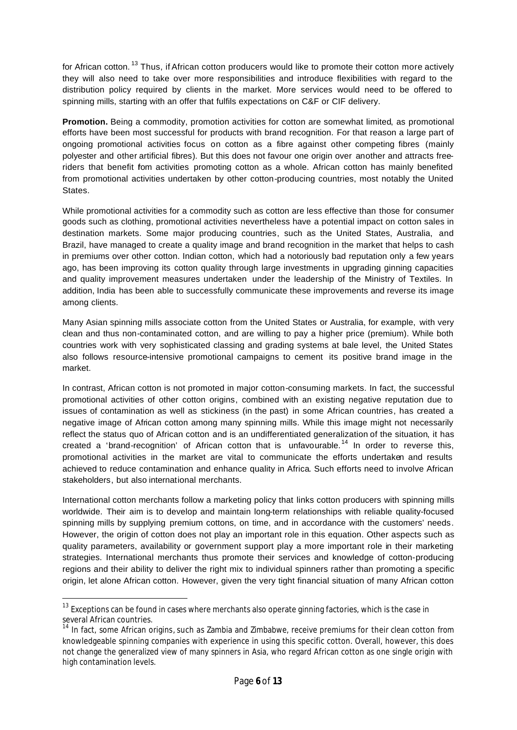for African cotton.<sup>13</sup> Thus, if African cotton producers would like to promote their cotton more actively they will also need to take over more responsibilities and introduce flexibilities with regard to the distribution policy required by clients in the market. More services would need to be offered to spinning mills, starting with an offer that fulfils expectations on C&F or CIF delivery.

**Promotion.** Being a commodity, promotion activities for cotton are somewhat limited, as promotional efforts have been most successful for products with brand recognition. For that reason a large part of ongoing promotional activities focus on cotton as a fibre against other competing fibres (mainly polyester and other artificial fibres). But this does not favour one origin over another and attracts freeriders that benefit fom activities promoting cotton as a whole. African cotton has mainly benefited from promotional activities undertaken by other cotton-producing countries, most notably the United **States** 

While promotional activities for a commodity such as cotton are less effective than those for consumer goods such as clothing, promotional activities nevertheless have a potential impact on cotton sales in destination markets. Some major producing countries, such as the United States, Australia, and Brazil, have managed to create a quality image and brand recognition in the market that helps to cash in premiums over other cotton. Indian cotton, which had a notoriously bad reputation only a few years ago, has been improving its cotton quality through large investments in upgrading ginning capacities and quality improvement measures undertaken under the leadership of the Ministry of Textiles. In addition, India has been able to successfully communicate these improvements and reverse its image among clients.

Many Asian spinning mills associate cotton from the United States or Australia, for example, with very clean and thus non-contaminated cotton, and are willing to pay a higher price (premium). While both countries work with very sophisticated classing and grading systems at bale level, the United States also follows resource-intensive promotional campaigns to cement its positive brand image in the market.

In contrast, African cotton is not promoted in major cotton-consuming markets. In fact, the successful promotional activities of other cotton origins, combined with an existing negative reputation due to issues of contamination as well as stickiness (in the past) in some African countries, has created a negative image of African cotton among many spinning mills. While this image might not necessarily reflect the status quo of African cotton and is an undifferentiated generalization of the situation, it has created a 'brand-recognition' of African cotton that is unfavourable.<sup>14</sup> In order to reverse this, promotional activities in the market are vital to communicate the efforts undertaken and results achieved to reduce contamination and enhance quality in Africa. Such efforts need to involve African stakeholders, but also international merchants.

International cotton merchants follow a marketing policy that links cotton producers with spinning mills worldwide. Their aim is to develop and maintain long-term relationships with reliable quality-focused spinning mills by supplying premium cottons, on time, and in accordance with the customers' needs. However, the origin of cotton does not play an important role in this equation. Other aspects such as quality parameters, availability or government support play a more important role in their marketing strategies. International merchants thus promote their services and knowledge of cotton-producing regions and their ability to deliver the right mix to individual spinners rather than promoting a specific origin, let alone African cotton. However, given the very tight financial situation of many African cotton

 $^{\rm 13}$  Exceptions can be found in cases where merchants also operate ginning factories, which is the case in several African countries.

<sup>&</sup>lt;sup>14</sup> In fact, some African origins, such as Zambia and Zimbabwe, receive premiums for their clean cotton from knowledgeable spinning companies with experience in using this specific cotton. Overall, however, this does not change the generalized view of many spinners in Asia, who regard African cotton as one single origin with high contamination levels.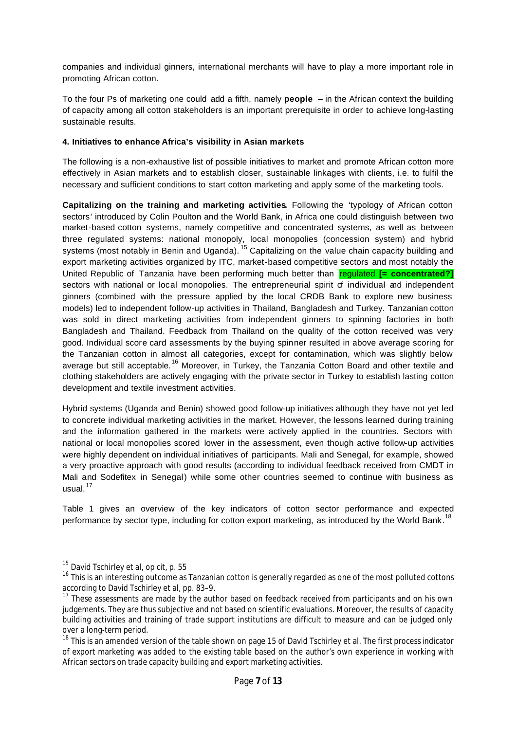companies and individual ginners, international merchants will have to play a more important role in promoting African cotton.

To the four Ps of marketing one could add a fifth, namely **people** – in the African context the building of capacity among all cotton stakeholders is an important prerequisite in order to achieve long-lasting sustainable results.

#### **4. Initiatives to enhance Africa's visibility in Asian markets**

The following is a non-exhaustive list of possible initiatives to market and promote African cotton more effectively in Asian markets and to establish closer, sustainable linkages with clients, i.e. to fulfil the necessary and sufficient conditions to start cotton marketing and apply some of the marketing tools.

**Capitalizing on the training and marketing activities.** Following the 'typology of African cotton sectors' introduced by Colin Poulton and the World Bank, in Africa one could distinguish between two market-based cotton systems, namely competitive and concentrated systems, as well as between three regulated systems: national monopoly, local monopolies (concession system) and hybrid systems (most notably in Benin and Uganda). <sup>15</sup> Capitalizing on the value chain capacity building and export marketing activities organized by ITC, market-based competitive sectors and most notably the United Republic of Tanzania have been performing much better than regulated **[= concentrated?]** sectors with national or local monopolies. The entrepreneurial spirit of individual and independent ginners (combined with the pressure applied by the local CRDB Bank to explore new business models) led to independent follow-up activities in Thailand, Bangladesh and Turkey. Tanzanian cotton was sold in direct marketing activities from independent ginners to spinning factories in both Bangladesh and Thailand. Feedback from Thailand on the quality of the cotton received was very good. Individual score card assessments by the buying spinner resulted in above average scoring for the Tanzanian cotton in almost all categories, except for contamination, which was slightly below average but still acceptable.<sup>16</sup> Moreover, in Turkey, the Tanzania Cotton Board and other textile and clothing stakeholders are actively engaging with the private sector in Turkey to establish lasting cotton development and textile investment activities.

Hybrid systems (Uganda and Benin) showed good follow-up initiatives although they have not yet led to concrete individual marketing activities in the market. However, the lessons learned during training and the information gathered in the markets were actively applied in the countries. Sectors with national or local monopolies scored lower in the assessment, even though active follow-up activities were highly dependent on individual initiatives of participants. Mali and Senegal, for example, showed a very proactive approach with good results (according to individual feedback received from CMDT in Mali and Sodefitex in Senegal) while some other countries seemed to continue with business as usual. $17$ 

Table 1 gives an overview of the key indicators of cotton sector performance and expected performance by sector type, including for cotton export marketing, as introduced by the World Bank.<sup>18</sup>

 $15$  David Tschirley et al, op cit, p. 55

<sup>&</sup>lt;sup>16</sup> This is an interesting outcome as Tanzanian cotton is generally regarded as one of the most polluted cottons according to David Tschirley et al, pp. 83–9.

<sup>&</sup>lt;sup>17</sup> These assessments are made by the author based on feedback received from participants and on his own judgements. They are thus subjective and not based on scientific evaluations. Moreover, the results of capacity building activities and training of trade support institutions are difficult to measure and can be judged only over a long-term period.

<sup>&</sup>lt;sup>18</sup> This is an amended version of the table shown on page 15 of David Tschirley et al. The first process indicator of export marketing was added to the existing table based on the author's own experience in working with African sectors on trade capacity building and export marketing activities.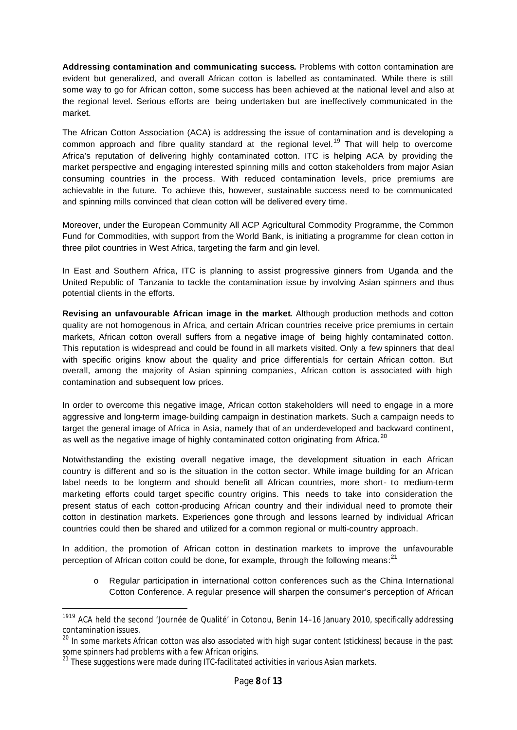**Addressing contamination and communicating success.** Problems with cotton contamination are evident but generalized, and overall African cotton is labelled as contaminated. While there is still some way to go for African cotton, some success has been achieved at the national level and also at the regional level. Serious efforts are being undertaken but are ineffectively communicated in the market.

The African Cotton Association (ACA) is addressing the issue of contamination and is developing a common approach and fibre quality standard at the regional level.<sup>19</sup> That will help to overcome Africa's reputation of delivering highly contaminated cotton. ITC is helping ACA by providing the market perspective and engaging interested spinning mills and cotton stakeholders from major Asian consuming countries in the process. With reduced contamination levels, price premiums are achievable in the future. To achieve this, however, sustainable success need to be communicated and spinning mills convinced that clean cotton will be delivered every time.

Moreover, under the European Community All ACP Agricultural Commodity Programme, the Common Fund for Commodities, with support from the World Bank, is initiating a programme for clean cotton in three pilot countries in West Africa, targeting the farm and gin level.

In East and Southern Africa, ITC is planning to assist progressive ginners from Uganda and the United Republic of Tanzania to tackle the contamination issue by involving Asian spinners and thus potential clients in the efforts.

**Revising an unfavourable African image in the market.** Although production methods and cotton quality are not homogenous in Africa, and certain African countries receive price premiums in certain markets, African cotton overall suffers from a negative image of being highly contaminated cotton. This reputation is widespread and could be found in all markets visited. Only a few spinners that deal with specific origins know about the quality and price differentials for certain African cotton. But overall, among the majority of Asian spinning companies, African cotton is associated with high contamination and subsequent low prices.

In order to overcome this negative image, African cotton stakeholders will need to engage in a more aggressive and long-term image-building campaign in destination markets. Such a campaign needs to target the general image of Africa in Asia, namely that of an underdeveloped and backward continent, as well as the negative image of highly contaminated cotton originating from Africa.<sup>20</sup>

Notwithstanding the existing overall negative image, the development situation in each African country is different and so is the situation in the cotton sector. While image building for an African label needs to be longterm and should benefit all African countries, more short- to medium-term marketing efforts could target specific country origins. This needs to take into consideration the present status of each cotton-producing African country and their individual need to promote their cotton in destination markets. Experiences gone through and lessons learned by individual African countries could then be shared and utilized for a common regional or multi-country approach.

In addition, the promotion of African cotton in destination markets to improve the unfavourable perception of African cotton could be done, for example, through the following means:<sup>21</sup>

Regular participation in international cotton conferences such as the China International Cotton Conference. A regular presence will sharpen the consumer's perception of African

<sup>&</sup>lt;sup>1919</sup> ACA held the second 'Journée de Qualité' in Cotonou, Benin 14-16 January 2010, specifically addressing contamination issues.

<sup>&</sup>lt;sup>20</sup> In some markets African cotton was also associated with high sugar content (stickiness) because in the past some spinners had problems with a few African origins.

 $^{21}$  These suggestions were made during ITC-facilitated activities in various Asian markets.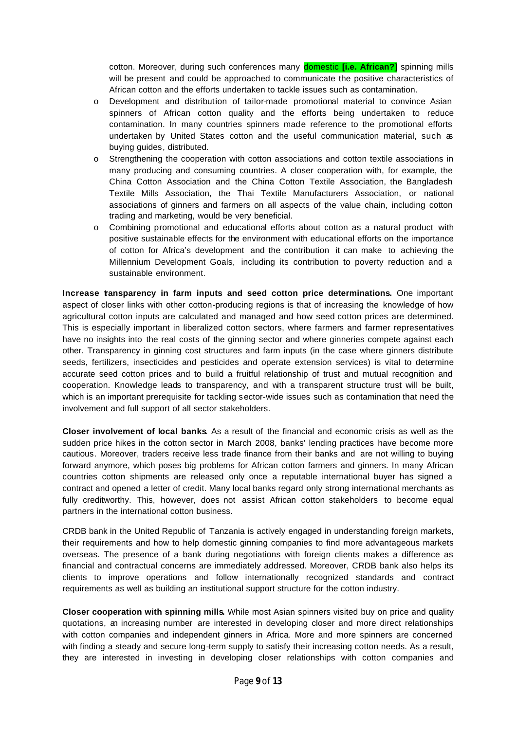cotton. Moreover, during such conferences many domestic **[i.e. African?]** spinning mills will be present and could be approached to communicate the positive characteristics of African cotton and the efforts undertaken to tackle issues such as contamination.

- o Development and distribution of tailor-made promotional material to convince Asian spinners of African cotton quality and the efforts being undertaken to reduce contamination. In many countries spinners made reference to the promotional efforts undertaken by United States cotton and the useful communication material, such as buying guides, distributed.
- o Strengthening the cooperation with cotton associations and cotton textile associations in many producing and consuming countries. A closer cooperation with, for example, the China Cotton Association and the China Cotton Textile Association, the Bangladesh Textile Mills Association, the Thai Textile Manufacturers Association, or national associations of ginners and farmers on all aspects of the value chain, including cotton trading and marketing, would be very beneficial.
- o Combining promotional and educational efforts about cotton as a natural product with positive sustainable effects for the environment with educational efforts on the importance of cotton for Africa's development and the contribution it can make to achieving the Millennium Development Goals, including its contribution to poverty reduction and a sustainable environment.

**Increase tansparency in farm inputs and seed cotton price determinations.** One important aspect of closer links with other cotton-producing regions is that of increasing the knowledge of how agricultural cotton inputs are calculated and managed and how seed cotton prices are determined. This is especially important in liberalized cotton sectors, where farmers and farmer representatives have no insights into the real costs of the ginning sector and where ginneries compete against each other. Transparency in ginning cost structures and farm inputs (in the case where ginners distribute seeds, fertilizers, insecticides and pesticides and operate extension services) is vital to determine accurate seed cotton prices and to build a fruitful relationship of trust and mutual recognition and cooperation. Knowledge leads to transparency, and with a transparent structure trust will be built, which is an important prerequisite for tackling sector-wide issues such as contamination that need the involvement and full support of all sector stakeholders.

**Closer involvement of local banks**. As a result of the financial and economic crisis as well as the sudden price hikes in the cotton sector in March 2008, banks' lending practices have become more cautious. Moreover, traders receive less trade finance from their banks and are not willing to buying forward anymore, which poses big problems for African cotton farmers and ginners. In many African countries cotton shipments are released only once a reputable international buyer has signed a contract and opened a letter of credit. Many local banks regard only strong international merchants as fully creditworthy. This, however, does not assist African cotton stakeholders to become equal partners in the international cotton business.

CRDB bank in the United Republic of Tanzania is actively engaged in understanding foreign markets, their requirements and how to help domestic ginning companies to find more advantageous markets overseas. The presence of a bank during negotiations with foreign clients makes a difference as financial and contractual concerns are immediately addressed. Moreover, CRDB bank also helps its clients to improve operations and follow internationally recognized standards and contract requirements as well as building an institutional support structure for the cotton industry.

**Closer cooperation with spinning mills.** While most Asian spinners visited buy on price and quality quotations, an increasing number are interested in developing closer and more direct relationships with cotton companies and independent ginners in Africa. More and more spinners are concerned with finding a steady and secure long-term supply to satisfy their increasing cotton needs. As a result, they are interested in investing in developing closer relationships with cotton companies and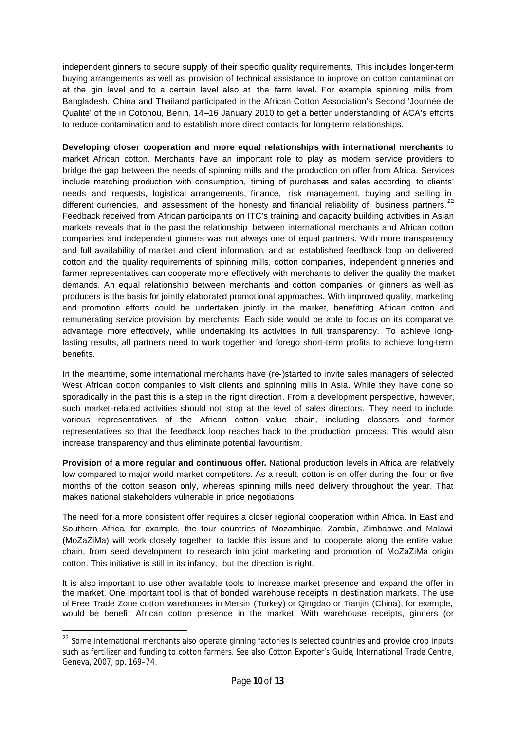independent ginners to secure supply of their specific quality requirements. This includes longer-term buying arrangements as well as provision of technical assistance to improve on cotton contamination at the gin level and to a certain level also at the farm level. For example spinning mills from Bangladesh, China and Thailand participated in the African Cotton Association's Second 'Journée de Qualité' of the in Cotonou, Benin, 14–16 January 2010 to get a better understanding of ACA's efforts to reduce contamination and to establish more direct contacts for long-term relationships.

**Developing closer cooperation and more equal relationships with international merchants** to market African cotton. Merchants have an important role to play as modern service providers to bridge the gap between the needs of spinning mills and the production on offer from Africa. Services include matching production with consumption, timing of purchases and sales according to clients' needs and requests, logistical arrangements, finance, risk management, buying and selling in different currencies, and assessment of the honesty and financial reliability of business partners.<sup>22</sup> Feedback received from African participants on ITC's training and capacity building activities in Asian markets reveals that in the past the relationship between international merchants and African cotton companies and independent ginners was not always one of equal partners. With more transparency and full availability of market and client information, and an established feedback loop on delivered cotton and the quality requirements of spinning mills, cotton companies, independent ginneries and farmer representatives can cooperate more effectively with merchants to deliver the quality the market demands. An equal relationship between merchants and cotton companies or ginners as well as producers is the basis for jointly elaborated promotional approaches. With improved quality, marketing and promotion efforts could be undertaken jointly in the market, benefitting African cotton and remunerating service provision by merchants. Each side would be able to focus on its comparative advantage more effectively, while undertaking its activities in full transparency. To achieve longlasting results, all partners need to work together and forego short-term profits to achieve long-term benefits.

In the meantime, some international merchants have (re-)started to invite sales managers of selected West African cotton companies to visit clients and spinning mills in Asia. While they have done so sporadically in the past this is a step in the right direction. From a development perspective, however, such market-related activities should not stop at the level of sales directors. They need to include various representatives of the African cotton value chain, including classers and farmer representatives so that the feedback loop reaches back to the production process. This would also increase transparency and thus eliminate potential favouritism.

**Provision of a more regular and continuous offer.** National production levels in Africa are relatively low compared to major world market competitors. As a result, cotton is on offer during the four or five months of the cotton season only, whereas spinning mills need delivery throughout the year. That makes national stakeholders vulnerable in price negotiations.

The need for a more consistent offer requires a closer regional cooperation within Africa. In East and Southern Africa, for example, the four countries of Mozambique, Zambia, Zimbabwe and Malawi (MoZaZiMa) will work closely together to tackle this issue and to cooperate along the entire value chain, from seed development to research into joint marketing and promotion of MoZaZiMa origin cotton. This initiative is still in its infancy, but the direction is right.

It is also important to use other available tools to increase market presence and expand the offer in the market. One important tool is that of bonded warehouse receipts in destination markets. The use of Free Trade Zone cotton warehouses in Mersin (Turkey) or Qingdao or Tianjin (China), for example, would be benefit African cotton presence in the market. With warehouse receipts, ginners (or

<sup>&</sup>lt;sup>22</sup> Some international merchants also operate ginning factories is selected countries and provide crop inputs such as fertilizer and funding to cotton farmers. See also *Cotton Exporter's Guide*, International Trade Centre, Geneva, 2007, pp. 169–74.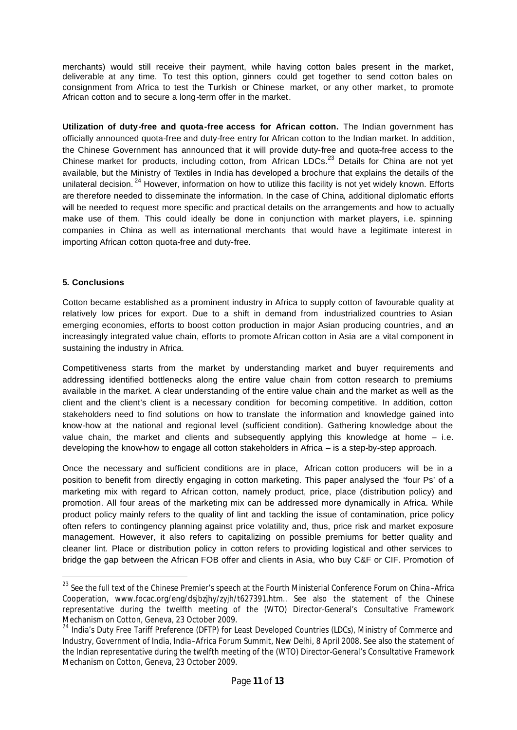merchants) would still receive their payment, while having cotton bales present in the market, deliverable at any time. To test this option, ginners could get together to send cotton bales on consignment from Africa to test the Turkish or Chinese market, or any other market, to promote African cotton and to secure a long-term offer in the market.

**Utilization of duty-free and quota-free access for African cotton.** The Indian government has officially announced quota-free and duty-free entry for African cotton to the Indian market. In addition, the Chinese Government has announced that it will provide duty-free and quota-free access to the Chinese market for products, including cotton, from African LDCs.<sup>23</sup> Details for China are not yet available, but the Ministry of Textiles in India has developed a brochure that explains the details of the unilateral decision.<sup>24</sup> However, information on how to utilize this facility is not yet widely known. Efforts are therefore needed to disseminate the information. In the case of China, additional diplomatic efforts will be needed to request more specific and practical details on the arrangements and how to actually make use of them. This could ideally be done in conjunction with market players, i.e. spinning companies in China as well as international merchants that would have a legitimate interest in importing African cotton quota-free and duty-free.

## **5. Conclusions**

l

Cotton became established as a prominent industry in Africa to supply cotton of favourable quality at relatively low prices for export. Due to a shift in demand from industrialized countries to Asian emerging economies, efforts to boost cotton production in major Asian producing countries, and an increasingly integrated value chain, efforts to promote African cotton in Asia are a vital component in sustaining the industry in Africa.

Competitiveness starts from the market by understanding market and buyer requirements and addressing identified bottlenecks along the entire value chain from cotton research to premiums available in the market. A clear understanding of the entire value chain and the market as well as the client and the client's client is a necessary condition for becoming competitive. In addition, cotton stakeholders need to find solutions on how to translate the information and knowledge gained into know-how at the national and regional level (sufficient condition). Gathering knowledge about the value chain, the market and clients and subsequently applying this knowledge at home  $-$  i.e. developing the know-how to engage all cotton stakeholders in Africa – is a step-by-step approach.

Once the necessary and sufficient conditions are in place, African cotton producers will be in a position to benefit from directly engaging in cotton marketing. This paper analysed the 'four Ps' of a marketing mix with regard to African cotton, namely product, price, place (distribution policy) and promotion. All four areas of the marketing mix can be addressed more dynamically in Africa. While product policy mainly refers to the quality of lint and tackling the issue of contamination, price policy often refers to contingency planning against price volatility and, thus, price risk and market exposure management. However, it also refers to capitalizing on possible premiums for better quality and cleaner lint. Place or distribution policy in cotton refers to providing logistical and other services to bridge the gap between the African FOB offer and clients in Asia, who buy C&F or CIF. Promotion of

<sup>&</sup>lt;sup>23</sup> See the full text of the Chinese Premier's speech at the Fourth Ministerial Conference Forum on China-Africa Cooperation, www.focac.org/eng/dsjbzjhy/zyjh/t627391.htm.. See also the statement of the Chinese representative during the twelfth meeting of the (WTO) Director-General's Consultative Framework Mechanism on Cotton, Geneva, 23 October 2009.

<sup>&</sup>lt;sup>24</sup> India's Duty Free Tariff Preference (DFTP) for Least Developed Countries (LDCs), Ministry of Commerce and Industry, Government of India, India–Africa Forum Summit, New Delhi, 8 April 2008. See also the statement of the Indian representative during the twelfth meeting of the (WTO) Director-General's Consultative Framework Mechanism on Cotton, Geneva, 23 October 2009.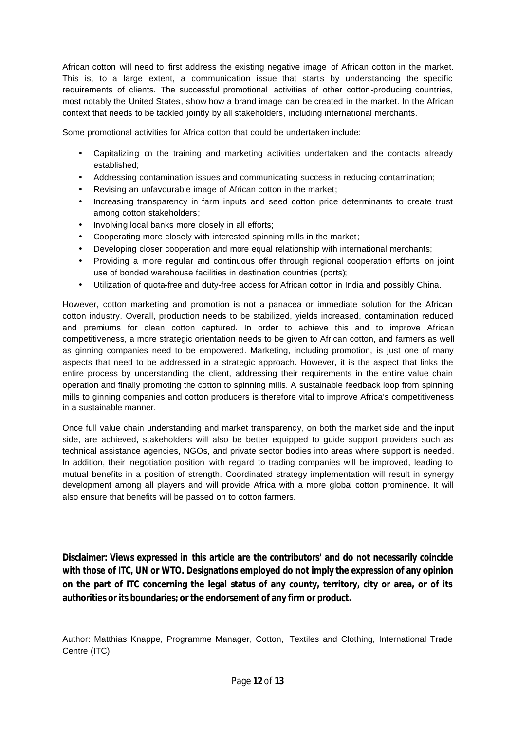African cotton will need to first address the existing negative image of African cotton in the market. This is, to a large extent, a communication issue that starts by understanding the specific requirements of clients. The successful promotional activities of other cotton-producing countries, most notably the United States, show how a brand image can be created in the market. In the African context that needs to be tackled jointly by all stakeholders, including international merchants.

Some promotional activities for Africa cotton that could be undertaken include:

- Capitalizing on the training and marketing activities undertaken and the contacts already established;
- Addressing contamination issues and communicating success in reducing contamination;
- Revising an unfavourable image of African cotton in the market;
- Increasing transparency in farm inputs and seed cotton price determinants to create trust among cotton stakeholders;
- Involving local banks more closely in all efforts;
- Cooperating more closely with interested spinning mills in the market;
- Developing closer cooperation and more equal relationship with international merchants;
- Providing a more regular and continuous offer through regional cooperation efforts on joint use of bonded warehouse facilities in destination countries (ports);
- Utilization of quota-free and duty-free access for African cotton in India and possibly China.

However, cotton marketing and promotion is not a panacea or immediate solution for the African cotton industry. Overall, production needs to be stabilized, yields increased, contamination reduced and premiums for clean cotton captured. In order to achieve this and to improve African competitiveness, a more strategic orientation needs to be given to African cotton, and farmers as well as ginning companies need to be empowered. Marketing, including promotion, is just one of many aspects that need to be addressed in a strategic approach. However, it is the aspect that links the entire process by understanding the client, addressing their requirements in the entire value chain operation and finally promoting the cotton to spinning mills. A sustainable feedback loop from spinning mills to ginning companies and cotton producers is therefore vital to improve Africa's competitiveness in a sustainable manner.

Once full value chain understanding and market transparency, on both the market side and the input side, are achieved, stakeholders will also be better equipped to guide support providers such as technical assistance agencies, NGOs, and private sector bodies into areas where support is needed. In addition, their negotiation position with regard to trading companies will be improved, leading to mutual benefits in a position of strength. Coordinated strategy implementation will result in synergy development among all players and will provide Africa with a more global cotton prominence. It will also ensure that benefits will be passed on to cotton farmers.

**Disclaimer: Views expressed in this article are the contributors' and do not necessarily coincide with those of ITC, UN or WTO. Designations employed do not imply the expression of any opinion on the part of ITC concerning the legal status of any county, territory, city or area, or of its authorities or its boundaries; or the endorsement of any firm or product.**

Author: Matthias Knappe, Programme Manager, Cotton, Textiles and Clothing, International Trade Centre (ITC).